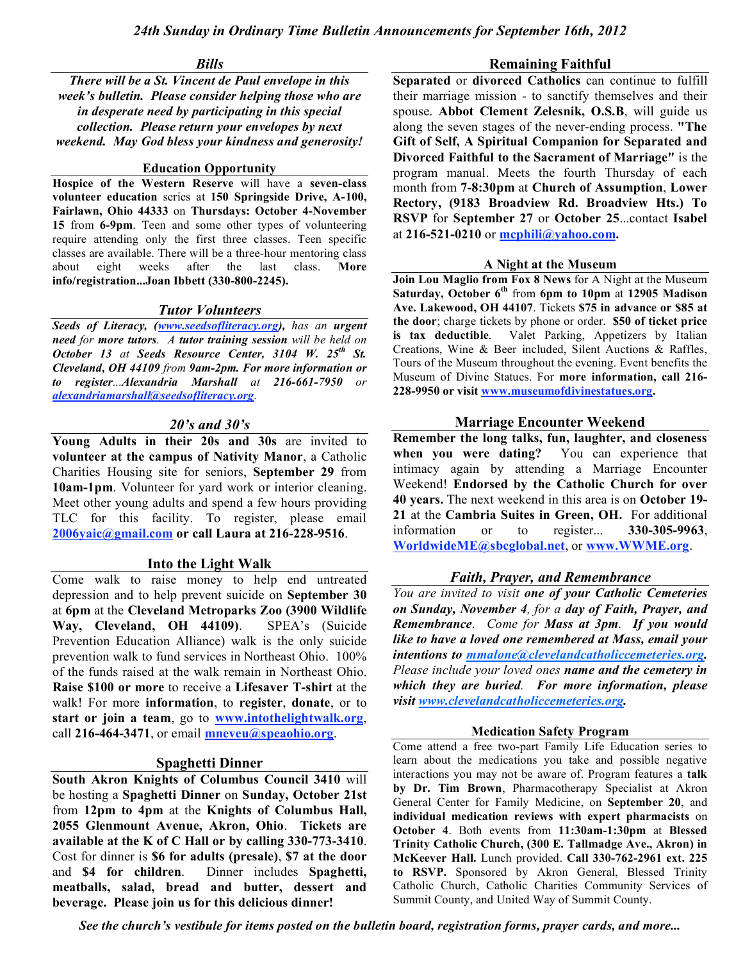#### *Bills*

### *There will be a St. Vincent de Paul envelope in this week's bulletin. Please consider helping those who are in desperate need by participating in this special collection. Please return your envelopes by next weekend. May God bless your kindness and generosity!*

# **Education Opportunity**

**Hospice of the Western Reserve** will have a **seven-class volunteer education** series at **150 Springside Drive, A-100, Fairlawn, Ohio 44333** on **Thursdays: October 4-November 15** from **6-9pm**. Teen and some other types of volunteering require attending only the first three classes. Teen specific classes are available. There will be a three-hour mentoring class about eight weeks after the last class. **More info/registration...Joan Ibbett (330-800-2245).**

# *Tutor Volunteers*

*Seeds of Literacy, (www.seedsofliteracy.org), has an urgent need for more tutors. A tutor training session will be held on October 13 at Seeds Resource Center, 3104 W. 25th St. Cleveland, OH 44109 from 9am-2pm. For more information or to register...Alexandria Marshall at 216-661-7950 or alexandriamarshall@seedsofliteracy.org.*

### *20's and 30's*

**Young Adults in their 20s and 30s** are invited to **volunteer at the campus of Nativity Manor**, a Catholic Charities Housing site for seniors, **September 29** from **10am-1pm**. Volunteer for yard work or interior cleaning. Meet other young adults and spend a few hours providing TLC for this facility. To register, please email **2006yaic@gmail.com or call Laura at 216-228-9516**.

### **Into the Light Walk**

Come walk to raise money to help end untreated depression and to help prevent suicide on **September 30** at **6pm** at the **Cleveland Metroparks Zoo (3900 Wildlife Way, Cleveland, OH 44109)**. SPEA's (Suicide Prevention Education Alliance) walk is the only suicide prevention walk to fund services in Northeast Ohio. 100% of the funds raised at the walk remain in Northeast Ohio. **Raise \$100 or more** to receive a **Lifesaver T-shirt** at the walk! For more **information**, to **register**, **donate**, or to **start or join a team**, go to **www.intothelightwalk.org**, call **216-464-3471**, or email **mneveu@speaohio.org**.

### **Spaghetti Dinner**

**South Akron Knights of Columbus Council 3410** will be hosting a **Spaghetti Dinner** on **Sunday, October 21st**  from **12pm to 4pm** at the **Knights of Columbus Hall, 2055 Glenmount Avenue, Akron, Ohio**. **Tickets are available at the K of C Hall or by calling 330-773-3410**. Cost for dinner is **\$6 for adults (presale)**, **\$7 at the door** and **\$4 for children**. Dinner includes **Spaghetti, meatballs, salad, bread and butter, dessert and beverage. Please join us for this delicious dinner!**

#### **Remaining Faithful**

**Separated** or **divorced Catholics** can continue to fulfill their marriage mission - to sanctify themselves and their spouse. **Abbot Clement Zelesnik, O.S.B**, will guide us along the seven stages of the never-ending process. **"The Gift of Self, A Spiritual Companion for Separated and Divorced Faithful to the Sacrament of Marriage"** is the program manual. Meets the fourth Thursday of each month from **7-8:30pm** at **Church of Assumption**, **Lower Rectory, (9183 Broadview Rd. Broadview Hts.) To RSVP** for **September 27** or **October 25**...contact **Isabel** at **216-521-0210** or **mcphili@yahoo.com.**

### **A Night at the Museum**

**Join Lou Maglio from Fox 8 News** for A Night at the Museum **Saturday, October 6th** from **6pm to 10pm** at **12905 Madison Ave. Lakewood, OH 44107**. Tickets **\$75 in advance or \$85 at the door**; charge tickets by phone or order. **\$50 of ticket price is tax deductible**. Valet Parking, Appetizers by Italian Creations, Wine & Beer included, Silent Auctions & Raffles, Tours of the Museum throughout the evening. Event benefits the Museum of Divine Statues. For **more information, call 216- 228-9950 or visit www.museumofdivinestatues.org.**

### **Marriage Encounter Weekend**

**Remember the long talks, fun, laughter, and closeness when you were dating?** You can experience that intimacy again by attending a Marriage Encounter Weekend! **Endorsed by the Catholic Church for over 40 years.** The next weekend in this area is on **October 19- 21** at the **Cambria Suites in Green, OH.** For additional information or to register... **330-305-9963**, **WorldwideME@sbcglobal.net**, or **www.WWME.org**.

### *Faith, Prayer, and Remembrance*

*You are invited to visit one of your Catholic Cemeteries on Sunday, November 4, for a day of Faith, Prayer, and Remembrance. Come for Mass at 3pm. If you would like to have a loved one remembered at Mass, email your intentions to mmalone@clevelandcatholiccemeteries.org. Please include your loved ones name and the cemetery in which they are buried. For more information, please visit www.clevelandcatholiccemeteries.org.*

### **Medication Safety Program**

Come attend a free two-part Family Life Education series to learn about the medications you take and possible negative interactions you may not be aware of. Program features a **talk by Dr. Tim Brown**, Pharmacotherapy Specialist at Akron General Center for Family Medicine, on **September 20**, and **individual medication reviews with expert pharmacists** on **October 4**. Both events from **11:30am-1:30pm** at **Blessed Trinity Catholic Church, (300 E. Tallmadge Ave., Akron) in McKeever Hall.** Lunch provided. **Call 330-762-2961 ext. 225 to RSVP.** Sponsored by Akron General, Blessed Trinity Catholic Church, Catholic Charities Community Services of Summit County, and United Way of Summit County.

*See the church's vestibule for items posted on the bulletin board, registration forms, prayer cards, and more...*